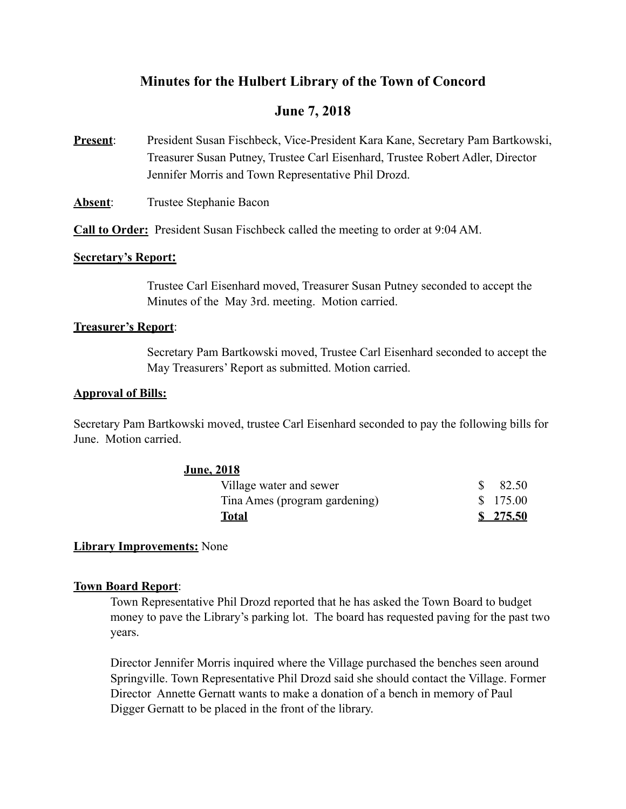# **Minutes for the Hulbert Library of the Town of Concord**

# **June 7, 2018**

- **Present**: President Susan Fischbeck, Vice-President Kara Kane, Secretary Pam Bartkowski, Treasurer Susan Putney, Trustee Carl Eisenhard, Trustee Robert Adler, Director Jennifer Morris and Town Representative Phil Drozd.
- **Absent:** Trustee Stephanie Bacon

**Call to Order:** President Susan Fischbeck called the meeting to order at 9:04 AM.

## **Secretary's Report:**

Trustee Carl Eisenhard moved, Treasurer Susan Putney seconded to accept the Minutes of the May 3rd. meeting. Motion carried.

## **Treasurer's Report**:

 Secretary Pam Bartkowski moved, Trustee Carl Eisenhard seconded to accept the May Treasurers' Report as submitted. Motion carried.

## **Approval of Bills:**

Secretary Pam Bartkowski moved, trustee Carl Eisenhard seconded to pay the following bills for June. Motion carried.

# **June, 2018**

| Village water and sewer       | $\$\,82.50$ |
|-------------------------------|-------------|
| Tina Ames (program gardening) | \$175.00    |
| Total                         | \$275.50    |

# **Library Improvements:** None

### **Town Board Report**:

 Town Representative Phil Drozd reported that he has asked the Town Board to budget money to pave the Library's parking lot. The board has requested paving for the past two years.

 Director Jennifer Morris inquired where the Village purchased the benches seen around Springville. Town Representative Phil Drozd said she should contact the Village. Former Director Annette Gernatt wants to make a donation of a bench in memory of Paul Digger Gernatt to be placed in the front of the library.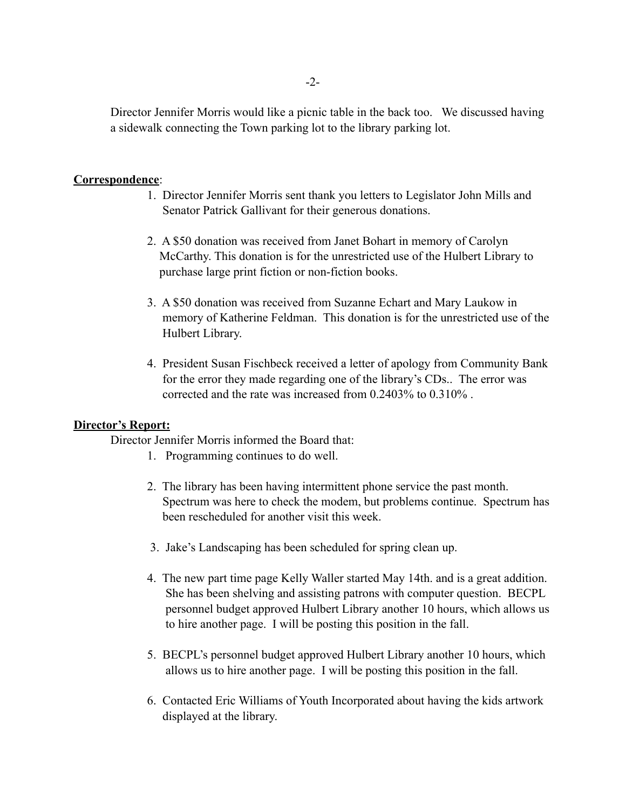Director Jennifer Morris would like a picnic table in the back too. We discussed having a sidewalk connecting the Town parking lot to the library parking lot.

### **Correspondence**:

- 1. Director Jennifer Morris sent thank you letters to Legislator John Mills and Senator Patrick Gallivant for their generous donations.
- 2. A \$50 donation was received from Janet Bohart in memory of Carolyn McCarthy. This donation is for the unrestricted use of the Hulbert Library to purchase large print fiction or non-fiction books.
- 3. A \$50 donation was received from Suzanne Echart and Mary Laukow in memory of Katherine Feldman. This donation is for the unrestricted use of the Hulbert Library.
- 4. President Susan Fischbeck received a letter of apology from Community Bank for the error they made regarding one of the library's CDs.. The error was corrected and the rate was increased from 0.2403% to 0.310% .

### **Director's Report:**

Director Jennifer Morris informed the Board that:

- 1. Programming continues to do well.
- 2. The library has been having intermittent phone service the past month. Spectrum was here to check the modem, but problems continue. Spectrum has been rescheduled for another visit this week.
- 3. Jake's Landscaping has been scheduled for spring clean up.
- 4. The new part time page Kelly Waller started May 14th. and is a great addition. She has been shelving and assisting patrons with computer question. BECPL personnel budget approved Hulbert Library another 10 hours, which allows us to hire another page. I will be posting this position in the fall.
- 5. BECPL's personnel budget approved Hulbert Library another 10 hours, which allows us to hire another page. I will be posting this position in the fall.
- 6. Contacted Eric Williams of Youth Incorporated about having the kids artwork displayed at the library.